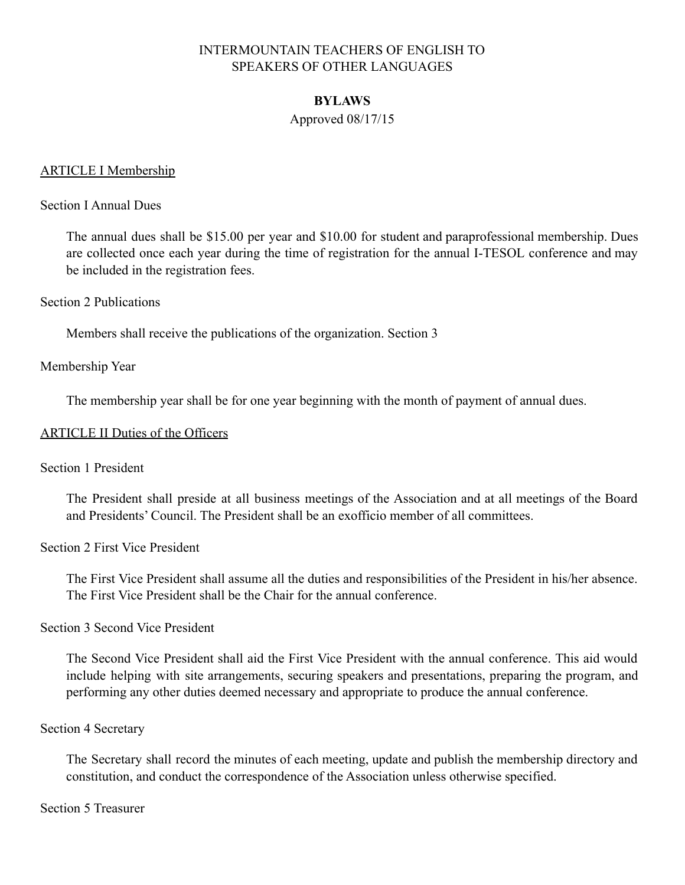### **BYLAWS**

### Approved 08/17/15

### ARTICLE I Membership

#### Section I Annual Dues

The annual dues shall be \$15.00 per year and \$10.00 for student and paraprofessional membership. Dues are collected once each year during the time of registration for the annual I-TESOL conference and may be included in the registration fees.

#### Section 2 Publications

Members shall receive the publications of the organization. Section 3

#### Membership Year

The membership year shall be for one year beginning with the month of payment of annual dues.

#### ARTICLE II Duties of the Officers

Section 1 President

The President shall preside at all business meetings of the Association and at all meetings of the Board and Presidents' Council. The President shall be an exofficio member of all committees.

#### Section 2 First Vice President

The First Vice President shall assume all the duties and responsibilities of the President in his/her absence. The First Vice President shall be the Chair for the annual conference.

#### Section 3 Second Vice President

The Second Vice President shall aid the First Vice President with the annual conference. This aid would include helping with site arrangements, securing speakers and presentations, preparing the program, and performing any other duties deemed necessary and appropriate to produce the annual conference.

#### Section 4 Secretary

The Secretary shall record the minutes of each meeting, update and publish the membership directory and constitution, and conduct the correspondence of the Association unless otherwise specified.

Section 5 Treasurer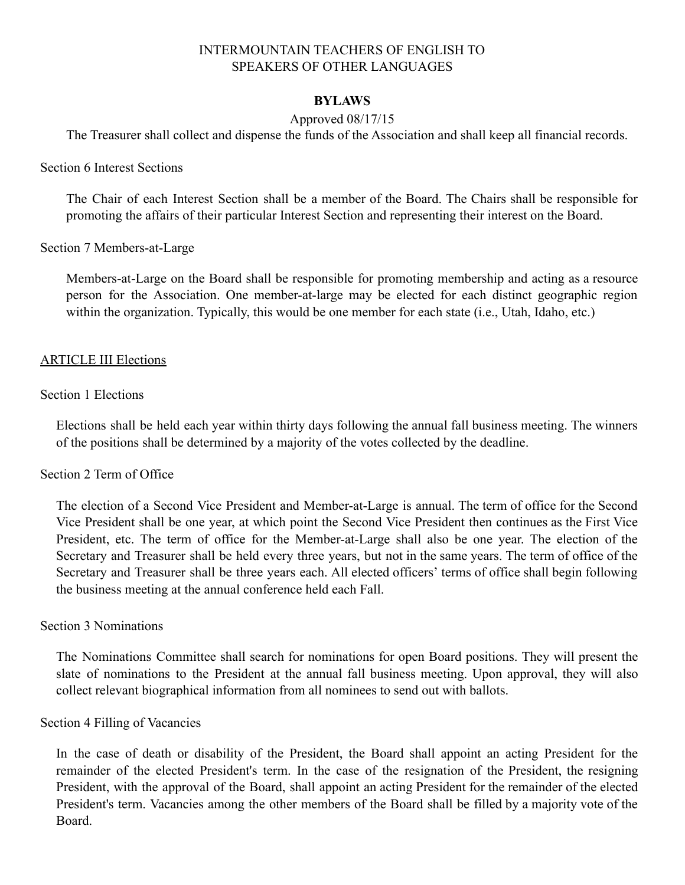#### **BYLAWS**

### Approved 08/17/15

The Treasurer shall collect and dispense the funds of the Association and shall keep all financial records.

Section 6 Interest Sections

The Chair of each Interest Section shall be a member of the Board. The Chairs shall be responsible for promoting the affairs of their particular Interest Section and representing their interest on the Board.

Section 7 Members-at-Large

Members-at-Large on the Board shall be responsible for promoting membership and acting as a resource person for the Association. One member-at-large may be elected for each distinct geographic region within the organization. Typically, this would be one member for each state (i.e., Utah, Idaho, etc.)

#### ARTICLE III Elections

#### Section 1 Elections

Elections shall be held each year within thirty days following the annual fall business meeting. The winners of the positions shall be determined by a majority of the votes collected by the deadline.

#### Section 2 Term of Office

The election of a Second Vice President and Member-at-Large is annual. The term of office for the Second Vice President shall be one year, at which point the Second Vice President then continues as the First Vice President, etc. The term of office for the Member-at-Large shall also be one year. The election of the Secretary and Treasurer shall be held every three years, but not in the same years. The term of office of the Secretary and Treasurer shall be three years each. All elected officers' terms of office shall begin following the business meeting at the annual conference held each Fall.

#### Section 3 Nominations

The Nominations Committee shall search for nominations for open Board positions. They will present the slate of nominations to the President at the annual fall business meeting. Upon approval, they will also collect relevant biographical information from all nominees to send out with ballots.

#### Section 4 Filling of Vacancies

In the case of death or disability of the President, the Board shall appoint an acting President for the remainder of the elected President's term. In the case of the resignation of the President, the resigning President, with the approval of the Board, shall appoint an acting President for the remainder of the elected President's term. Vacancies among the other members of the Board shall be filled by a majority vote of the Board.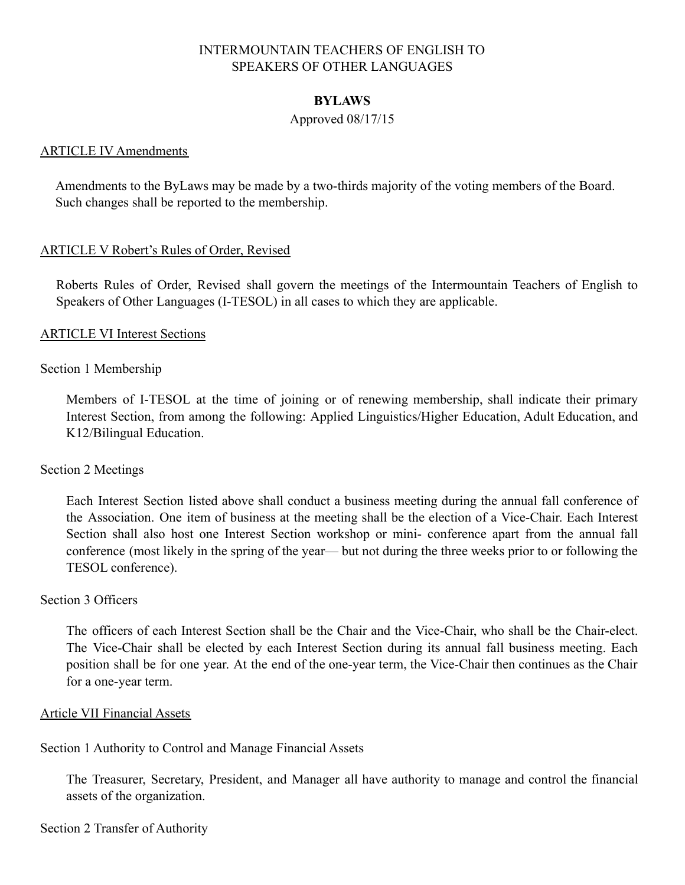#### **BYLAWS**

#### Approved 08/17/15

### ARTICLE IV Amendments

Amendments to the ByLaws may be made by a two-thirds majority of the voting members of the Board. Such changes shall be reported to the membership.

### ARTICLE V Robert's Rules of Order, Revised

Roberts Rules of Order, Revised shall govern the meetings of the Intermountain Teachers of English to Speakers of Other Languages (I-TESOL) in all cases to which they are applicable.

### ARTICLE VI Interest Sections

### Section 1 Membership

Members of I-TESOL at the time of joining or of renewing membership, shall indicate their primary Interest Section, from among the following: Applied Linguistics/Higher Education, Adult Education, and K12/Bilingual Education.

#### Section 2 Meetings

Each Interest Section listed above shall conduct a business meeting during the annual fall conference of the Association. One item of business at the meeting shall be the election of a Vice-Chair. Each Interest Section shall also host one Interest Section workshop or mini- conference apart from the annual fall conference (most likely in the spring of the year— but not during the three weeks prior to or following the TESOL conference).

#### Section 3 Officers

The officers of each Interest Section shall be the Chair and the Vice-Chair, who shall be the Chair-elect. The Vice-Chair shall be elected by each Interest Section during its annual fall business meeting. Each position shall be for one year. At the end of the one-year term, the Vice-Chair then continues as the Chair for a one-year term.

#### Article VII Financial Assets

# Section 1 Authority to Control and Manage Financial Assets

The Treasurer, Secretary, President, and Manager all have authority to manage and control the financial assets of the organization.

# Section 2 Transfer of Authority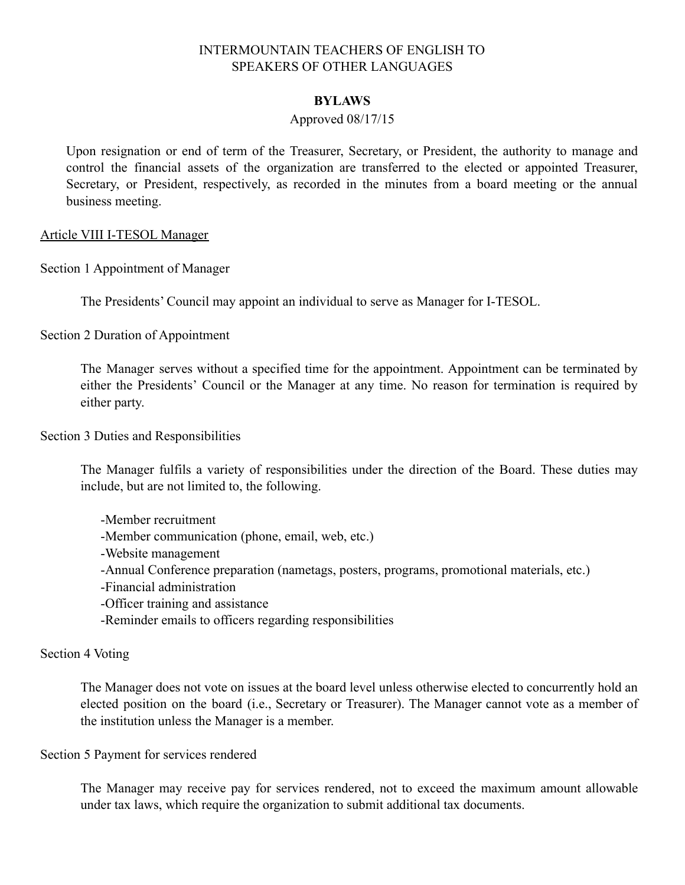#### **BYLAWS**

### Approved 08/17/15

Upon resignation or end of term of the Treasurer, Secretary, or President, the authority to manage and control the financial assets of the organization are transferred to the elected or appointed Treasurer, Secretary, or President, respectively, as recorded in the minutes from a board meeting or the annual business meeting.

#### Article VIII I-TESOL Manager

Section 1 Appointment of Manager

The Presidents' Council may appoint an individual to serve as Manager for I-TESOL.

Section 2 Duration of Appointment

The Manager serves without a specified time for the appointment. Appointment can be terminated by either the Presidents' Council or the Manager at any time. No reason for termination is required by either party.

Section 3 Duties and Responsibilities

The Manager fulfils a variety of responsibilities under the direction of the Board. These duties may include, but are not limited to, the following.

-Member recruitment -Member communication (phone, email, web, etc.) -Website management -Annual Conference preparation (nametags, posters, programs, promotional materials, etc.) -Financial administration -Officer training and assistance -Reminder emails to officers regarding responsibilities

#### Section 4 Voting

The Manager does not vote on issues at the board level unless otherwise elected to concurrently hold an elected position on the board (i.e., Secretary or Treasurer). The Manager cannot vote as a member of the institution unless the Manager is a member.

Section 5 Payment for services rendered

The Manager may receive pay for services rendered, not to exceed the maximum amount allowable under tax laws, which require the organization to submit additional tax documents.